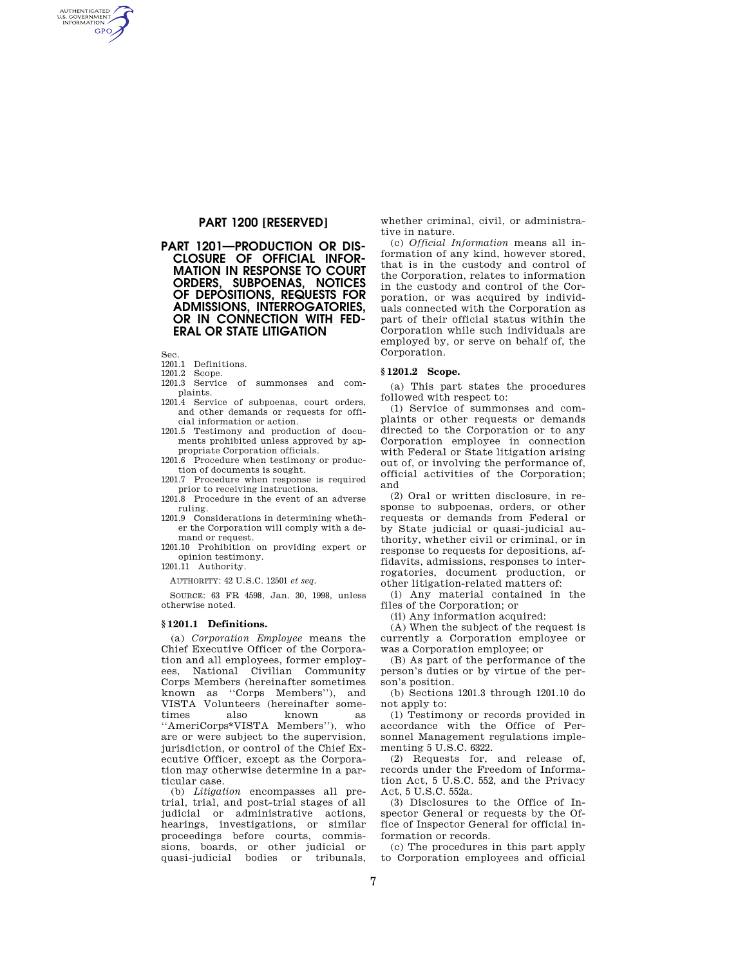# **PART 1200 [RESERVED]**

**PART 1201—PRODUCTION OR DIS-CLOSURE OF OFFICIAL INFOR-MATION IN RESPONSE TO COURT ORDERS, SUBPOENAS, NOTICES OF DEPOSITIONS, REQUESTS FOR ADMISSIONS, INTERROGATORIES, OR IN CONNECTION WITH FED-ERAL OR STATE LITIGATION** 

Sec.

AUTHENTICATED<br>U.S. GOVERNMENT<br>INFORMATION **GPO** 

- 1201.1 Definitions.
- 1201.2 Scope.
- 1201.3 Service of summonses and complaints.
- 1201.4 Service of subpoenas, court orders, and other demands or requests for official information or action.
- 1201.5 Testimony and production of documents prohibited unless approved by appropriate Corporation officials.
- 1201.6 Procedure when testimony or production of documents is sought.
- 1201.7 Procedure when response is required prior to receiving instructions.
- 1201.8 Procedure in the event of an adverse ruling.
- 1201.9 Considerations in determining whether the Corporation will comply with a demand or request.
- 1201.10 Prohibition on providing expert or opinion testimony.

1201.11 Authority.

AUTHORITY: 42 U.S.C. 12501 *et seq.* 

SOURCE: 63 FR 4598, Jan. 30, 1998, unless otherwise noted.

#### **§ 1201.1 Definitions.**

(a) *Corporation Employee* means the Chief Executive Officer of the Corporation and all employees, former employees, National Civilian Community Corps Members (hereinafter sometimes known as ''Corps Members''), and VISTA Volunteers (hereinafter sometimes also known as ''AmeriCorps\*VISTA Members''), who are or were subject to the supervision, jurisdiction, or control of the Chief Executive Officer, except as the Corporation may otherwise determine in a particular case.

(b) *Litigation* encompasses all pretrial, trial, and post-trial stages of all judicial or administrative actions, hearings, investigations, or similar proceedings before courts, commissions, boards, or other judicial or quasi-judicial bodies or tribunals, whether criminal, civil, or administrative in nature.

(c) *Official Information* means all information of any kind, however stored, that is in the custody and control of the Corporation, relates to information in the custody and control of the Corporation, or was acquired by individuals connected with the Corporation as part of their official status within the Corporation while such individuals are employed by, or serve on behalf of, the Corporation.

#### **§ 1201.2 Scope.**

(a) This part states the procedures followed with respect to:

(1) Service of summonses and complaints or other requests or demands directed to the Corporation or to any Corporation employee in connection with Federal or State litigation arising out of, or involving the performance of, official activities of the Corporation; and

(2) Oral or written disclosure, in response to subpoenas, orders, or other requests or demands from Federal or by State judicial or quasi-judicial authority, whether civil or criminal, or in response to requests for depositions, affidavits, admissions, responses to interrogatories, document production, or other litigation-related matters of:

(i) Any material contained in the files of the Corporation; or

(ii) Any information acquired:

(A) When the subject of the request is currently a Corporation employee or was a Corporation employee; or

(B) As part of the performance of the person's duties or by virtue of the person's position.

(b) Sections 1201.3 through 1201.10 do not apply to:

(1) Testimony or records provided in accordance with the Office of Personnel Management regulations implementing 5 U.S.C. 6322.

(2) Requests for, and release of, records under the Freedom of Information Act, 5 U.S.C. 552, and the Privacy Act, 5 U.S.C. 552a.

(3) Disclosures to the Office of Inspector General or requests by the Office of Inspector General for official information or records.

(c) The procedures in this part apply to Corporation employees and official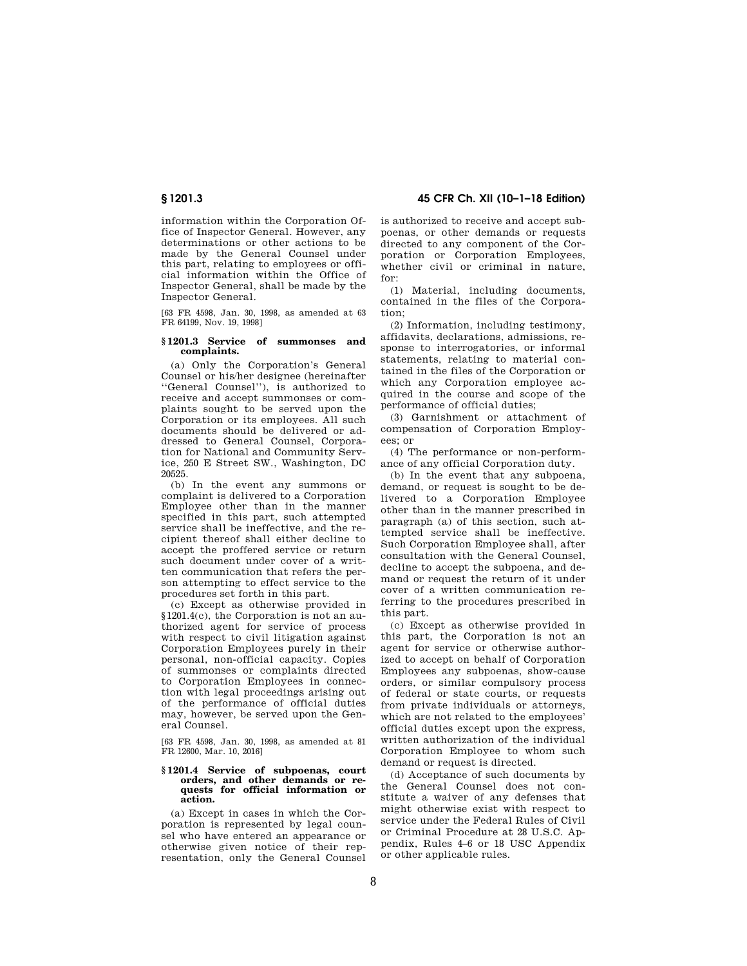information within the Corporation Office of Inspector General. However, any determinations or other actions to be made by the General Counsel under this part, relating to employees or official information within the Office of Inspector General, shall be made by the Inspector General.

[63 FR 4598, Jan. 30, 1998, as amended at 63 FR 64199, Nov. 19, 1998]

# **§ 1201.3 Service of summonses and complaints.**

(a) Only the Corporation's General Counsel or his/her designee (hereinafter ''General Counsel''), is authorized to receive and accept summonses or complaints sought to be served upon the Corporation or its employees. All such documents should be delivered or addressed to General Counsel, Corporation for National and Community Service, 250 E Street SW., Washington, DC 20525.

(b) In the event any summons or complaint is delivered to a Corporation Employee other than in the manner specified in this part, such attempted service shall be ineffective, and the recipient thereof shall either decline to accept the proffered service or return such document under cover of a written communication that refers the person attempting to effect service to the procedures set forth in this part.

(c) Except as otherwise provided in §1201.4(c), the Corporation is not an authorized agent for service of process with respect to civil litigation against Corporation Employees purely in their personal, non-official capacity. Copies of summonses or complaints directed to Corporation Employees in connection with legal proceedings arising out of the performance of official duties may, however, be served upon the General Counsel.

[63 FR 4598, Jan. 30, 1998, as amended at 81 FR 12600, Mar. 10, 2016]

#### **§ 1201.4 Service of subpoenas, court orders, and other demands or requests for official information or action.**

(a) Except in cases in which the Corporation is represented by legal counsel who have entered an appearance or otherwise given notice of their representation, only the General Counsel

**§ 1201.3 45 CFR Ch. XII (10–1–18 Edition)** 

is authorized to receive and accept subpoenas, or other demands or requests directed to any component of the Corporation or Corporation Employees, whether civil or criminal in nature, for:

(1) Material, including documents, contained in the files of the Corporation;

(2) Information, including testimony, affidavits, declarations, admissions, response to interrogatories, or informal statements, relating to material contained in the files of the Corporation or which any Corporation employee acquired in the course and scope of the performance of official duties;

(3) Garnishment or attachment of compensation of Corporation Employees; or

(4) The performance or non-performance of any official Corporation duty.

(b) In the event that any subpoena, demand, or request is sought to be delivered to a Corporation Employee other than in the manner prescribed in paragraph (a) of this section, such attempted service shall be ineffective. Such Corporation Employee shall, after consultation with the General Counsel, decline to accept the subpoena, and demand or request the return of it under cover of a written communication referring to the procedures prescribed in this part.

(c) Except as otherwise provided in this part, the Corporation is not an agent for service or otherwise authorized to accept on behalf of Corporation Employees any subpoenas, show-cause orders, or similar compulsory process of federal or state courts, or requests from private individuals or attorneys, which are not related to the employees' official duties except upon the express, written authorization of the individual Corporation Employee to whom such demand or request is directed.

(d) Acceptance of such documents by the General Counsel does not constitute a waiver of any defenses that might otherwise exist with respect to service under the Federal Rules of Civil or Criminal Procedure at 28 U.S.C. Appendix, Rules 4–6 or 18 USC Appendix or other applicable rules.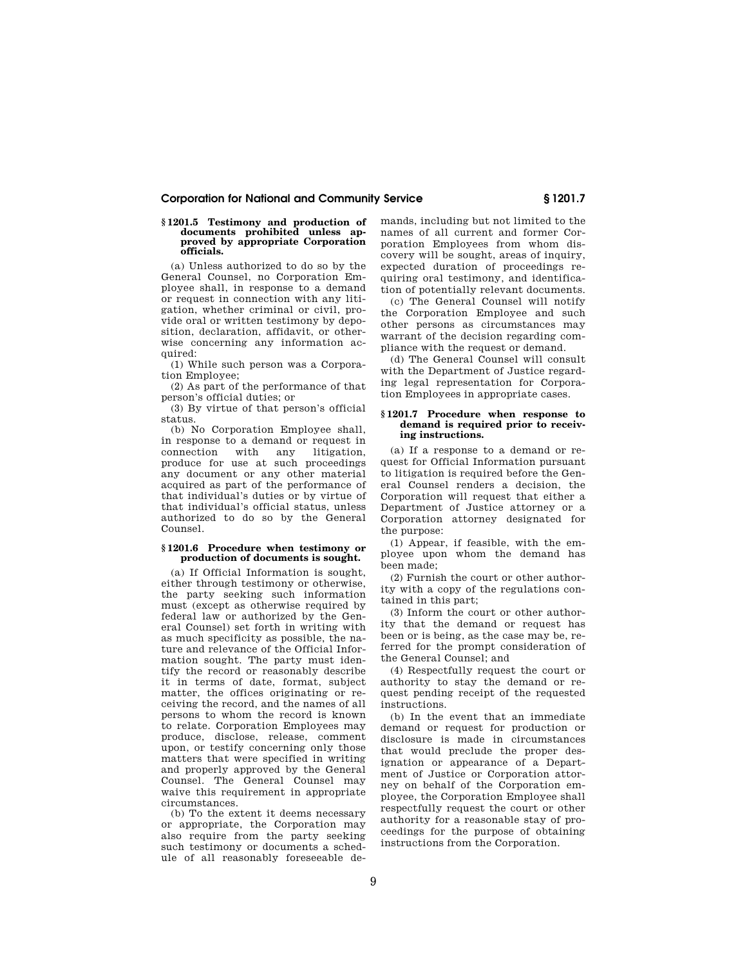# **Corporation for National and Community Service § 1201.7**

#### **§ 1201.5 Testimony and production of documents prohibited unless approved by appropriate Corporation officials.**

(a) Unless authorized to do so by the General Counsel, no Corporation Employee shall, in response to a demand or request in connection with any litigation, whether criminal or civil, provide oral or written testimony by deposition, declaration, affidavit, or otherwise concerning any information acquired:

(1) While such person was a Corporation Employee;

(2) As part of the performance of that person's official duties; or

(3) By virtue of that person's official status.

(b) No Corporation Employee shall, in response to a demand or request in connection with any litigation, produce for use at such proceedings any document or any other material acquired as part of the performance of that individual's duties or by virtue of that individual's official status, unless authorized to do so by the General Counsel.

## **§ 1201.6 Procedure when testimony or production of documents is sought.**

(a) If Official Information is sought, either through testimony or otherwise, the party seeking such information must (except as otherwise required by federal law or authorized by the General Counsel) set forth in writing with as much specificity as possible, the nature and relevance of the Official Information sought. The party must identify the record or reasonably describe it in terms of date, format, subject matter, the offices originating or receiving the record, and the names of all persons to whom the record is known to relate. Corporation Employees may produce, disclose, release, comment upon, or testify concerning only those matters that were specified in writing and properly approved by the General Counsel. The General Counsel may waive this requirement in appropriate circumstances.

(b) To the extent it deems necessary or appropriate, the Corporation may also require from the party seeking such testimony or documents a schedule of all reasonably foreseeable demands, including but not limited to the names of all current and former Corporation Employees from whom discovery will be sought, areas of inquiry, expected duration of proceedings requiring oral testimony, and identification of potentially relevant documents.

(c) The General Counsel will notify the Corporation Employee and such other persons as circumstances may warrant of the decision regarding compliance with the request or demand.

(d) The General Counsel will consult with the Department of Justice regarding legal representation for Corporation Employees in appropriate cases.

#### **§ 1201.7 Procedure when response to**  demand is required prior to receiv**ing instructions.**

(a) If a response to a demand or request for Official Information pursuant to litigation is required before the General Counsel renders a decision, the Corporation will request that either a Department of Justice attorney or a Corporation attorney designated for the purpose:

(1) Appear, if feasible, with the employee upon whom the demand has been made;

(2) Furnish the court or other authority with a copy of the regulations contained in this part;

(3) Inform the court or other authority that the demand or request has been or is being, as the case may be, referred for the prompt consideration of the General Counsel; and

(4) Respectfully request the court or authority to stay the demand or request pending receipt of the requested instructions.

(b) In the event that an immediate demand or request for production or disclosure is made in circumstances that would preclude the proper designation or appearance of a Department of Justice or Corporation attorney on behalf of the Corporation employee, the Corporation Employee shall respectfully request the court or other authority for a reasonable stay of proceedings for the purpose of obtaining instructions from the Corporation.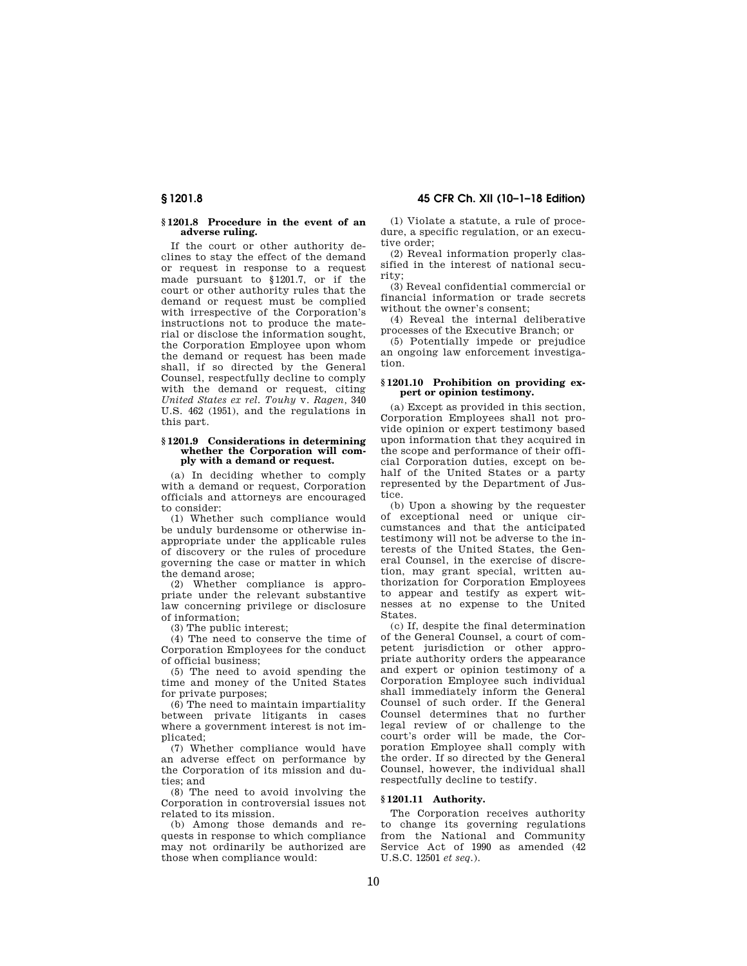**§ 1201.8 45 CFR Ch. XII (10–1–18 Edition)** 

# **§ 1201.8 Procedure in the event of an adverse ruling.**

If the court or other authority declines to stay the effect of the demand or request in response to a request made pursuant to §1201.7, or if the court or other authority rules that the demand or request must be complied with irrespective of the Corporation's instructions not to produce the material or disclose the information sought, the Corporation Employee upon whom the demand or request has been made shall, if so directed by the General Counsel, respectfully decline to comply with the demand or request, citing *United States ex rel. Touhy* v. *Ragen,* 340 U.S. 462 (1951), and the regulations in this part.

### **§ 1201.9 Considerations in determining whether the Corporation will comply with a demand or request.**

(a) In deciding whether to comply with a demand or request, Corporation officials and attorneys are encouraged to consider:

(1) Whether such compliance would be unduly burdensome or otherwise inappropriate under the applicable rules of discovery or the rules of procedure governing the case or matter in which the demand arose;

(2) Whether compliance is appropriate under the relevant substantive law concerning privilege or disclosure of information;

(3) The public interest;

(4) The need to conserve the time of Corporation Employees for the conduct of official business;

(5) The need to avoid spending the time and money of the United States for private purposes;

(6) The need to maintain impartiality between private litigants in cases where a government interest is not implicated;

(7) Whether compliance would have an adverse effect on performance by the Corporation of its mission and duties; and

(8) The need to avoid involving the Corporation in controversial issues not related to its mission.

(b) Among those demands and requests in response to which compliance may not ordinarily be authorized are those when compliance would:

(1) Violate a statute, a rule of procedure, a specific regulation, or an executive order;

(2) Reveal information properly classified in the interest of national security;

(3) Reveal confidential commercial or financial information or trade secrets without the owner's consent;

(4) Reveal the internal deliberative processes of the Executive Branch; or

(5) Potentially impede or prejudice an ongoing law enforcement investigation.

# **§ 1201.10 Prohibition on providing expert or opinion testimony.**

(a) Except as provided in this section, Corporation Employees shall not provide opinion or expert testimony based upon information that they acquired in the scope and performance of their official Corporation duties, except on behalf of the United States or a party represented by the Department of Justice.

(b) Upon a showing by the requester of exceptional need or unique circumstances and that the anticipated testimony will not be adverse to the interests of the United States, the General Counsel, in the exercise of discretion, may grant special, written authorization for Corporation Employees to appear and testify as expert witnesses at no expense to the United **States** 

(c) If, despite the final determination of the General Counsel, a court of competent jurisdiction or other appropriate authority orders the appearance and expert or opinion testimony of a Corporation Employee such individual shall immediately inform the General Counsel of such order. If the General Counsel determines that no further legal review of or challenge to the court's order will be made, the Corporation Employee shall comply with the order. If so directed by the General Counsel, however, the individual shall respectfully decline to testify.

# **§ 1201.11 Authority.**

The Corporation receives authority to change its governing regulations from the National and Community Service Act of 1990 as amended (42 U.S.C. 12501 *et seq.*).